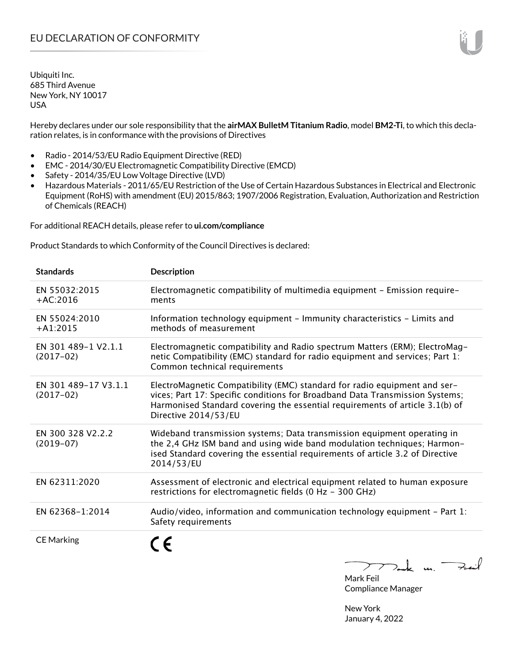Hereby declares under our sole responsibility that the **airMAX BulletM Titanium Radio**, model **BM2-Ti**, to which this declaration relates, is in conformance with the provisions of Directives

- Radio 2014/53/EU Radio Equipment Directive (RED)
- EMC 2014/30/EU Electromagnetic Compatibility Directive (EMCD)
- Safety 2014/35/EU Low Voltage Directive (LVD)
- Hazardous Materials 2011/65/EU Restriction of the Use of Certain Hazardous Substances in Electrical and Electronic Equipment (RoHS) with amendment (EU) 2015/863; 1907/2006 Registration, Evaluation, Authorization and Restriction of Chemicals (REACH)

For additional REACH details, please refer to **ui.com/compliance**

Product Standards to which Conformity of the Council Directives is declared:

| <b>Standards</b>                    | <b>Description</b>                                                                                                                                                                                                                                                |
|-------------------------------------|-------------------------------------------------------------------------------------------------------------------------------------------------------------------------------------------------------------------------------------------------------------------|
| EN 55032:2015<br>$+AC:2016$         | Electromagnetic compatibility of multimedia equipment - Emission require-<br>ments                                                                                                                                                                                |
| EN 55024:2010<br>$+A1:2015$         | Information technology equipment - Immunity characteristics - Limits and<br>methods of measurement                                                                                                                                                                |
| EN 301 489-1 V2.1.1<br>$(2017-02)$  | Electromagnetic compatibility and Radio spectrum Matters (ERM); ElectroMag-<br>netic Compatibility (EMC) standard for radio equipment and services; Part 1:<br>Common technical requirements                                                                      |
| EN 301 489-17 V3.1.1<br>$(2017-02)$ | ElectroMagnetic Compatibility (EMC) standard for radio equipment and ser-<br>vices; Part 17: Specific conditions for Broadband Data Transmission Systems;<br>Harmonised Standard covering the essential requirements of article 3.1(b) of<br>Directive 2014/53/EU |
| EN 300 328 V2.2.2<br>$(2019-07)$    | Wideband transmission systems; Data transmission equipment operating in<br>the 2,4 GHz ISM band and using wide band modulation techniques; Harmon-<br>ised Standard covering the essential requirements of article 3.2 of Directive<br>2014/53/EU                 |
| EN 62311:2020                       | Assessment of electronic and electrical equipment related to human exposure<br>restrictions for electromagnetic fields (0 Hz - 300 GHz)                                                                                                                           |
| EN 62368-1:2014                     | Audio/video, information and communication technology equipment $-$ Part 1:<br>Safety requirements                                                                                                                                                                |
| <b>CE Marking</b>                   |                                                                                                                                                                                                                                                                   |

 $k$  un  $\rightarrow$  $\sum$ Mark Feil

Compliance Manager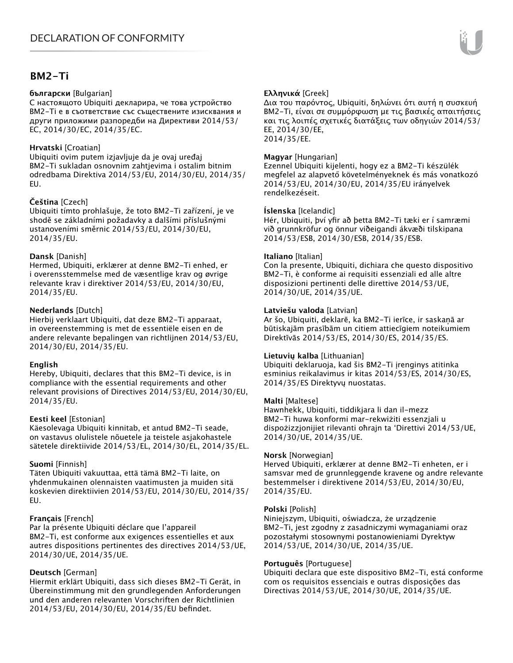# **BM2-Ti**

#### **български** [Bulgarian]

С настоящото Ubiquiti декларира, че това устройство BM2-Ti е в съответствие със съществените изисквания и други приложими разпоредби на Директиви 2014/53/ EC, 2014/30/ЕС, 2014/35/ЕС.

#### **Hrvatski** [Croatian]

Ubiquiti ovim putem izjavljuje da je ovaj uređaj BM2-Ti sukladan osnovnim zahtjevima i ostalim bitnim odredbama Direktiva 2014/53/EU, 2014/30/EU, 2014/35/ EU.

### **Čeština** [Czech]

Ubiquiti tímto prohlašuje, že toto BM2-Ti zařízení, je ve shodě se základními požadavky a dalšími příslušnými ustanoveními směrnic 2014/53/EU, 2014/30/EU, 2014/35/EU.

#### **Dansk** [Danish]

Hermed, Ubiquiti, erklærer at denne BM2-Ti enhed, er i overensstemmelse med de væsentlige krav og øvrige relevante krav i direktiver 2014/53/EU, 2014/30/EU, 2014/35/EU.

### **Nederlands** [Dutch]

Hierbij verklaart Ubiquiti, dat deze BM2-Ti apparaat, in overeenstemming is met de essentiële eisen en de andere relevante bepalingen van richtlijnen 2014/53/EU, 2014/30/EU, 2014/35/EU.

#### **English**

Hereby, Ubiquiti, declares that this BM2-Ti device, is in compliance with the essential requirements and other relevant provisions of Directives 2014/53/EU, 2014/30/EU, 2014/35/EU.

## **Eesti keel** [Estonian]

Käesolevaga Ubiquiti kinnitab, et antud BM2-Ti seade, on vastavus olulistele nõuetele ja teistele asjakohastele sätetele direktiivide 2014/53/EL, 2014/30/EL, 2014/35/EL.

## **Suomi** [Finnish]

Täten Ubiquiti vakuuttaa, että tämä BM2-Ti laite, on yhdenmukainen olennaisten vaatimusten ja muiden sitä koskevien direktiivien 2014/53/EU, 2014/30/EU, 2014/35/ EU.

## **Français** [French]

Par la présente Ubiquiti déclare que l'appareil BM2-Ti, est conforme aux exigences essentielles et aux autres dispositions pertinentes des directives 2014/53/UE, 2014/30/UE, 2014/35/UE.

## **Deutsch** [German]

Hiermit erklärt Ubiquiti, dass sich dieses BM2-Ti Gerät, in Übereinstimmung mit den grundlegenden Anforderungen und den anderen relevanten Vorschriften der Richtlinien 2014/53/EU, 2014/30/EU, 2014/35/EU befindet.

## **Ελληνικά** [Greek]

Δια του παρόντος, Ubiquiti, δηλώνει ότι αυτή η συσκευή BM2-Ti, είναι σε συμμόρφωση με τις βασικές απαιτήσεις και τις λοιπές σχετικές διατάξεις των οδηγιών 2014/53/ EE, 2014/30/EE, 2014/35/EE.

### **Magyar** [Hungarian]

Ezennel Ubiquiti kijelenti, hogy ez a BM2-Ti készülék megfelel az alapvető követelményeknek és más vonatkozó 2014/53/EU, 2014/30/EU, 2014/35/EU irányelvek rendelkezéseit.

#### **Íslenska** [Icelandic]

Hér, Ubiquiti, því yfir að þetta BM2-Ti tæki er í samræmi við grunnkröfur og önnur viðeigandi ákvæði tilskipana 2014/53/ESB, 2014/30/ESB, 2014/35/ESB.

#### **Italiano** [Italian]

Con la presente, Ubiquiti, dichiara che questo dispositivo BM2-Ti, è conforme ai requisiti essenziali ed alle altre disposizioni pertinenti delle direttive 2014/53/UE, 2014/30/UE, 2014/35/UE.

### **Latviešu valoda** [Latvian]

Ar šo, Ubiquiti, deklarē, ka BM2-Ti ierīce, ir saskaņā ar būtiskajām prasībām un citiem attiecīgiem noteikumiem Direktīvās 2014/53/ES, 2014/30/ES, 2014/35/ES.

#### **Lietuvių kalba** [Lithuanian]

Ubiquiti deklaruoja, kad šis BM2-Ti įrenginys atitinka esminius reikalavimus ir kitas 2014/53/ES, 2014/30/ES, 2014/35/ES Direktyvų nuostatas.

#### **Malti** [Maltese]

Hawnhekk, Ubiquiti, tiddikjara li dan il-mezz BM2-Ti huwa konformi mar-rekwiżiti essenzjali u dispożizzjonijiet rilevanti oħrajn ta 'Direttivi 2014/53/UE, 2014/30/UE, 2014/35/UE.

#### **Norsk** [Norwegian]

Herved Ubiquiti, erklærer at denne BM2-Ti enheten, er i samsvar med de grunnleggende kravene og andre relevante bestemmelser i direktivene 2014/53/EU, 2014/30/EU, 2014/35/EU.

#### **Polski** [Polish]

Niniejszym, Ubiquiti, oświadcza, że urządzenie BM2-Ti, jest zgodny z zasadniczymi wymaganiami oraz pozostałymi stosownymi postanowieniami Dyrektyw 2014/53/UE, 2014/30/UE, 2014/35/UE.

#### **Português** [Portuguese]

Ubiquiti declara que este dispositivo BM2-Ti, está conforme com os requisitos essenciais e outras disposições das Directivas 2014/53/UE, 2014/30/UE, 2014/35/UE.

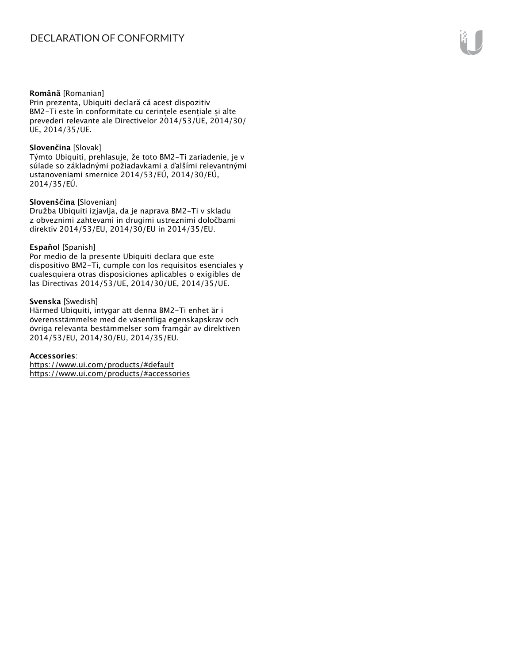#### **Română** [Romanian]

Prin prezenta, Ubiquiti declară că acest dispozitiv BM2-Ti este în conformitate cu cerințele esențiale și alte prevederi relevante ale Directivelor 2014/53/UE, 2014/30/ UE, 2014/35/UE.

#### **Slovenčina** [Slovak]

Týmto Ubiquiti, prehlasuje, že toto BM2-Ti zariadenie, je v súlade so základnými požiadavkami a ďalšími relevantnými ustanoveniami smernice 2014/53/EÚ, 2014/30/EÚ, 2014/35/EÚ.

#### **Slovenščina** [Slovenian]

Družba Ubiquiti izjavlja, da je naprava BM2-Ti v skladu z obveznimi zahtevami in drugimi ustreznimi določbami direktiv 2014/53/EU, 2014/30/EU in 2014/35/EU.

#### **Español** [Spanish]

Por medio de la presente Ubiquiti declara que este dispositivo BM2-Ti, cumple con los requisitos esenciales y cualesquiera otras disposiciones aplicables o exigibles de las Directivas 2014/53/UE, 2014/30/UE, 2014/35/UE.

#### **Svenska** [Swedish]

Härmed Ubiquiti, intygar att denna BM2-Ti enhet är i överensstämmelse med de väsentliga egenskapskrav och övriga relevanta bestämmelser som framgår av direktiven 2014/53/EU, 2014/30/EU, 2014/35/EU.

#### **Accessories**:

https://www.ui.com/products/#default https://www.ui.com/products/#accessories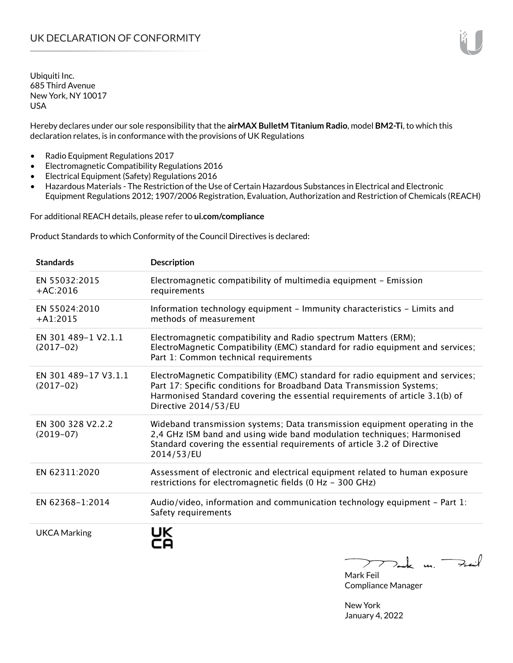Hereby declares under our sole responsibility that the **airMAX BulletM Titanium Radio**, model **BM2-Ti**, to which this declaration relates, is in conformance with the provisions of UK Regulations

- Radio Equipment Regulations 2017
- Electromagnetic Compatibility Regulations 2016
- Electrical Equipment (Safety) Regulations 2016
- Hazardous Materials The Restriction of the Use of Certain Hazardous Substances in Electrical and Electronic Equipment Regulations 2012; 1907/2006 Registration, Evaluation, Authorization and Restriction of Chemicals (REACH)

For additional REACH details, please refer to **ui.com/compliance**

Product Standards to which Conformity of the Council Directives is declared:

| <b>Standards</b>                    | <b>Description</b>                                                                                                                                                                                                                                              |
|-------------------------------------|-----------------------------------------------------------------------------------------------------------------------------------------------------------------------------------------------------------------------------------------------------------------|
| EN 55032:2015<br>$+AC:2016$         | Electromagnetic compatibility of multimedia equipment - Emission<br>requirements                                                                                                                                                                                |
| EN 55024:2010<br>$+A1:2015$         | Information technology equipment - Immunity characteristics - Limits and<br>methods of measurement                                                                                                                                                              |
| EN 301 489-1 V2.1.1<br>$(2017-02)$  | Electromagnetic compatibility and Radio spectrum Matters (ERM);<br>ElectroMagnetic Compatibility (EMC) standard for radio equipment and services;<br>Part 1: Common technical requirements                                                                      |
| EN 301 489-17 V3.1.1<br>$(2017-02)$ | ElectroMagnetic Compatibility (EMC) standard for radio equipment and services;<br>Part 17: Specific conditions for Broadband Data Transmission Systems;<br>Harmonised Standard covering the essential requirements of article 3.1(b) of<br>Directive 2014/53/EU |
| EN 300 328 V2.2.2<br>$(2019-07)$    | Wideband transmission systems; Data transmission equipment operating in the<br>2,4 GHz ISM band and using wide band modulation techniques; Harmonised<br>Standard covering the essential requirements of article 3.2 of Directive<br>2014/53/EU                 |
| EN 62311:2020                       | Assessment of electronic and electrical equipment related to human exposure<br>restrictions for electromagnetic fields (0 Hz - 300 GHz)                                                                                                                         |
| EN 62368-1:2014                     | Audio/video, information and communication technology equipment $-$ Part 1:<br>Safety requirements                                                                                                                                                              |
| <b>UKCA Marking</b>                 | UK<br>$\overline{u}$                                                                                                                                                                                                                                            |

Mark m. Mark Feil Compliance Manager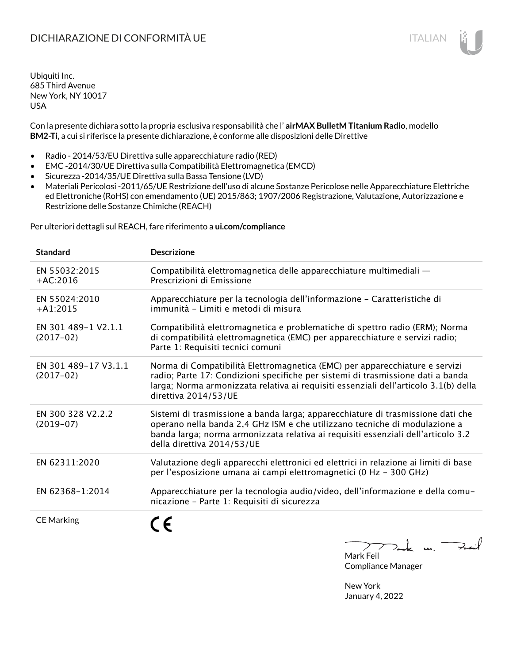Con la presente dichiara sotto la propria esclusiva responsabilità che l' **airMAX BulletM Titanium Radio**, modello **BM2-Ti**, a cui si riferisce la presente dichiarazione, è conforme alle disposizioni delle Direttive

- Radio 2014/53/EU Direttiva sulle apparecchiature radio (RED)
- EMC -2014/30/UE Direttiva sulla Compatibilità Elettromagnetica (EMCD)
- Sicurezza -2014/35/UE Direttiva sulla Bassa Tensione (LVD)
- Materiali Pericolosi -2011/65/UE Restrizione dell'uso di alcune Sostanze Pericolose nelle Apparecchiature Elettriche ed Elettroniche (RoHS) con emendamento (UE) 2015/863; 1907/2006 Registrazione, Valutazione, Autorizzazione e Restrizione delle Sostanze Chimiche (REACH)

Per ulteriori dettagli sul REACH, fare riferimento a **ui.com/compliance**

| <b>Standard</b>                     | <b>Descrizione</b>                                                                                                                                                                                                                                                               |
|-------------------------------------|----------------------------------------------------------------------------------------------------------------------------------------------------------------------------------------------------------------------------------------------------------------------------------|
| EN 55032:2015<br>$+AC:2016$         | Compatibilità elettromagnetica delle apparecchiature multimediali -<br>Prescrizioni di Emissione                                                                                                                                                                                 |
| EN 55024:2010<br>$+A1:2015$         | Apparecchiature per la tecnologia dell'informazione - Caratteristiche di<br>immunità - Limiti e metodi di misura                                                                                                                                                                 |
| EN 301 489-1 V2.1.1<br>$(2017-02)$  | Compatibilità elettromagnetica e problematiche di spettro radio (ERM); Norma<br>di compatibilità elettromagnetica (EMC) per apparecchiature e servizi radio;<br>Parte 1: Requisiti tecnici comuni                                                                                |
| EN 301 489-17 V3.1.1<br>$(2017-02)$ | Norma di Compatibilità Elettromagnetica (EMC) per apparecchiature e servizi<br>radio; Parte 17: Condizioni specifiche per sistemi di trasmissione dati a banda<br>larga; Norma armonizzata relativa ai requisiti essenziali dell'articolo 3.1(b) della<br>direttiva 2014/53/UE   |
| EN 300 328 V2.2.2<br>$(2019-07)$    | Sistemi di trasmissione a banda larga; apparecchiature di trasmissione dati che<br>operano nella banda 2,4 GHz ISM e che utilizzano tecniche di modulazione a<br>banda larga; norma armonizzata relativa ai requisiti essenziali dell'articolo 3.2<br>della direttiva 2014/53/UE |
| EN 62311:2020                       | Valutazione degli apparecchi elettronici ed elettrici in relazione ai limiti di base<br>per l'esposizione umana ai campi elettromagnetici (0 Hz - 300 GHz)                                                                                                                       |
| EN 62368-1:2014                     | Apparecchiature per la tecnologia audio/video, dell'informazione e della comu-<br>nicazione - Parte 1: Requisiti di sicurezza                                                                                                                                                    |
| <b>CE Marking</b>                   | $\sqrt{2}$                                                                                                                                                                                                                                                                       |

Feat k m. Mark Feil

Compliance Manager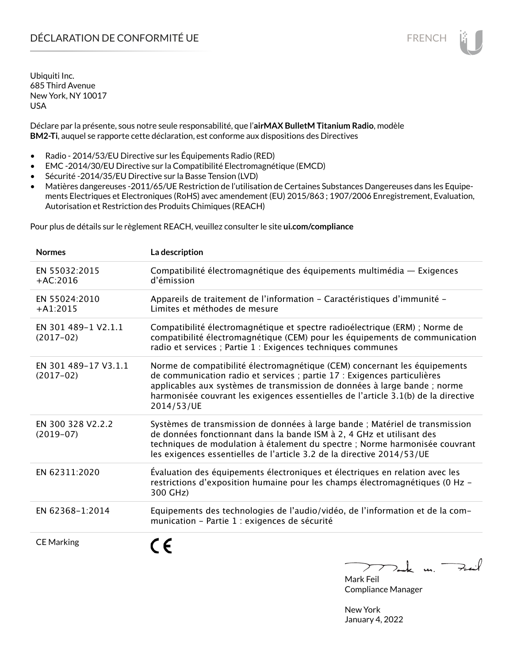Déclare par la présente, sous notre seule responsabilité, que l'**airMAX BulletM Titanium Radio**, modèle **BM2-Ti**, auquel se rapporte cette déclaration, est conforme aux dispositions des Directives

- Radio 2014/53/EU Directive sur les Équipements Radio (RED)
- EMC -2014/30/EU Directive sur la Compatibilité Electromagnétique (EMCD)
- Sécurité -2014/35/EU Directive sur la Basse Tension (LVD)
- Matières dangereuses -2011/65/UE Restriction de l'utilisation de Certaines Substances Dangereuses dans les Equipements Electriques et Electroniques (RoHS) avec amendement (EU) 2015/863 ; 1907/2006 Enregistrement, Evaluation, Autorisation et Restriction des Produits Chimiques (REACH)

Pour plus de détails sur le règlement REACH, veuillez consulter le site **ui.com/compliance**

| <b>Normes</b>                       | La description                                                                                                                                                                                                                                                                                                                         |
|-------------------------------------|----------------------------------------------------------------------------------------------------------------------------------------------------------------------------------------------------------------------------------------------------------------------------------------------------------------------------------------|
| EN 55032:2015<br>$+AC:2016$         | Compatibilité électromagnétique des équipements multimédia — Exigences<br>d'émission                                                                                                                                                                                                                                                   |
| EN 55024:2010<br>$+A1:2015$         | Appareils de traitement de l'information - Caractéristiques d'immunité -<br>Limites et méthodes de mesure                                                                                                                                                                                                                              |
| EN 301 489-1 V2.1.1<br>$(2017-02)$  | Compatibilité électromagnétique et spectre radioélectrique (ERM) ; Norme de<br>compatibilité électromagnétique (CEM) pour les équipements de communication<br>radio et services ; Partie 1 : Exigences techniques communes                                                                                                             |
| EN 301 489-17 V3.1.1<br>$(2017-02)$ | Norme de compatibilité électromagnétique (CEM) concernant les équipements<br>de communication radio et services ; partie 17 : Exigences particulières<br>applicables aux systèmes de transmission de données à large bande ; norme<br>harmonisée couvrant les exigences essentielles de l'article 3.1(b) de la directive<br>2014/53/UE |
| EN 300 328 V2.2.2<br>$(2019-07)$    | Systèmes de transmission de données à large bande ; Matériel de transmission<br>de données fonctionnant dans la bande ISM à 2, 4 GHz et utilisant des<br>techniques de modulation à étalement du spectre ; Norme harmonisée couvrant<br>les exigences essentielles de l'article 3.2 de la directive 2014/53/UE                         |
| EN 62311:2020                       | Évaluation des équipements électroniques et électriques en relation avec les<br>restrictions d'exposition humaine pour les champs électromagnétiques (0 Hz -<br>300 GHz)                                                                                                                                                               |
| EN 62368-1:2014                     | Equipements des technologies de l'audio/vidéo, de l'information et de la com-<br>munication - Partie 1 : exigences de sécurité                                                                                                                                                                                                         |
| <b>CE Marking</b>                   | C E<br>$>$ ak m. $^-$<br>$\sum$                                                                                                                                                                                                                                                                                                        |

Mark Feil Compliance Manager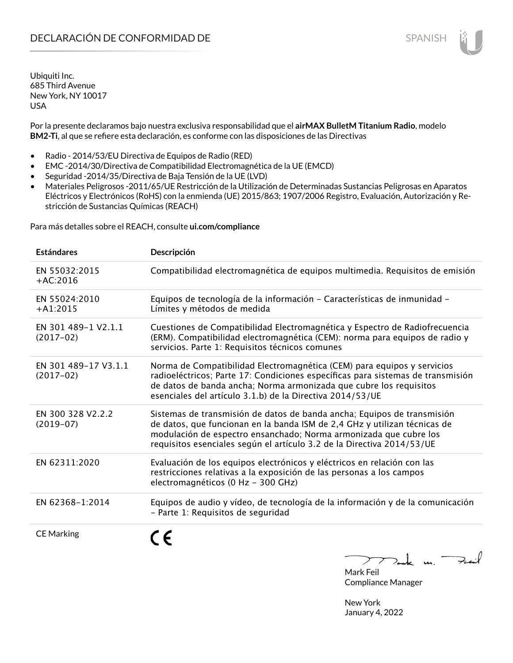Por la presente declaramos bajo nuestra exclusiva responsabilidad que el **airMAX BulletM Titanium Radio**, modelo **BM2-Ti**, al que se refiere esta declaración, es conforme con las disposiciones de las Directivas

- Radio 2014/53/EU Directiva de Equipos de Radio (RED)
- EMC -2014/30/Directiva de Compatibilidad Electromagnética de la UE (EMCD)
- Seguridad -2014/35/Directiva de Baja Tensión de la UE (LVD)
- Materiales Peligrosos -2011/65/UE Restricción de la Utilización de Determinadas Sustancias Peligrosas en Aparatos Eléctricos y Electrónicos (RoHS) con la enmienda (UE) 2015/863; 1907/2006 Registro, Evaluación, Autorización y Restricción de Sustancias Químicas (REACH)

Para más detalles sobre el REACH, consulte **ui.com/compliance**

| <b>Estándares</b>                   | Descripción                                                                                                                                                                                                                                                                                         |
|-------------------------------------|-----------------------------------------------------------------------------------------------------------------------------------------------------------------------------------------------------------------------------------------------------------------------------------------------------|
| EN 55032:2015<br>$+AC:2016$         | Compatibilidad electromagnética de equipos multimedia. Requisitos de emisión                                                                                                                                                                                                                        |
| EN 55024:2010<br>$+A1:2015$         | Equipos de tecnología de la información - Características de inmunidad -<br>Límites y métodos de medida                                                                                                                                                                                             |
| EN 301 489-1 V2.1.1<br>$(2017-02)$  | Cuestiones de Compatibilidad Electromagnética y Espectro de Radiofrecuencia<br>(ERM). Compatibilidad electromagnética (CEM): norma para equipos de radio y<br>servicios. Parte 1: Requisitos técnicos comunes                                                                                       |
| EN 301 489-17 V3.1.1<br>$(2017-02)$ | Norma de Compatibilidad Electromagnética (CEM) para equipos y servicios<br>radioeléctricos; Parte 17: Condiciones específicas para sistemas de transmisión<br>de datos de banda ancha; Norma armonizada que cubre los requisitos<br>esenciales del artículo 3.1.b) de la Directiva 2014/53/UE       |
| EN 300 328 V2.2.2<br>$(2019-07)$    | Sistemas de transmisión de datos de banda ancha; Equipos de transmisión<br>de datos, que funcionan en la banda ISM de 2,4 GHz y utilizan técnicas de<br>modulación de espectro ensanchado; Norma armonizada que cubre los<br>requisitos esenciales según el artículo 3.2 de la Directiva 2014/53/UE |
| EN 62311:2020                       | Evaluación de los equipos electrónicos y eléctricos en relación con las<br>restricciones relativas a la exposición de las personas a los campos<br>electromagnéticos (0 Hz - 300 GHz)                                                                                                               |
| EN 62368-1:2014                     | Equipos de audio y vídeo, de tecnología de la información y de la comunicación<br>- Parte 1: Requisitos de seguridad                                                                                                                                                                                |
| <b>CE Marking</b>                   | $\sqrt{2}$                                                                                                                                                                                                                                                                                          |

 $7$  $\triangleright$  $\overline{\phantom{a}}$ 

Mark Feil Compliance Manager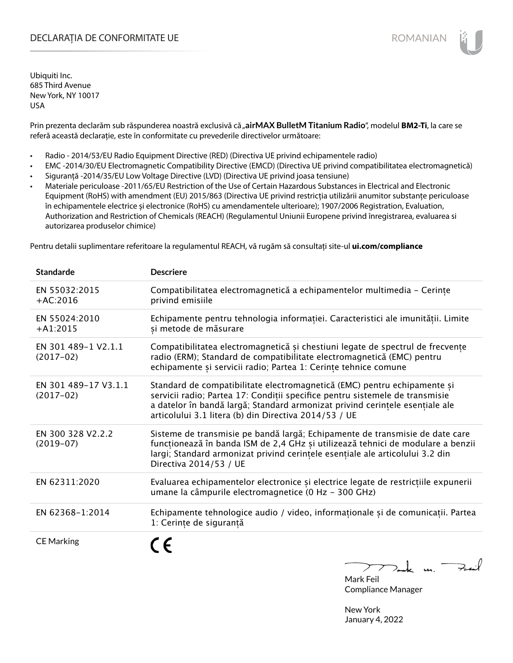# DECLARAȚIA DE CONFORMITATE UE EXECUTE DE ROMANIAN

Ubiquiti Inc. 685 Third Avenue New York, NY 10017 USA

Prin prezenta declarăm sub răspunderea noastră exclusivă că "airMAX BulletM Titanium Radio", modelul BM2-Ti, la care se referă această declarație, este în conformitate cu prevederile directivelor următoare:

- Radio 2014/53/EU Radio Equipment Directive (RED) (Directiva UE privind echipamentele radio)
- EMC -2014/30/EU Electromagnetic Compatibility Directive (EMCD) (Directiva UE privind compatibilitatea electromagnetică)
- Siguranță -2014/35/EU Low Voltage Directive (LVD) (Directiva UE privind joasa tensiune)
- Materiale periculoase -2011/65/EU Restriction of the Use of Certain Hazardous Substances in Electrical and Electronic Equipment (RoHS) with amendment (EU) 2015/863 (Directiva UE privind restricția utilizării anumitor substanțe periculoase în echipamentele electrice și electronice (RoHS) cu amendamentele ulterioare); 1907/2006 Registration, Evaluation, Authorization and Restriction of Chemicals (REACH) (Regulamentul Uniunii Europene privind înregistrarea, evaluarea si autorizarea produselor chimice)

Pentru detalii suplimentare referitoare la regulamentul REACH, vă rugăm să consultați site-ul **ui.com/compliance**

| <b>Standarde</b>                    | <b>Descriere</b>                                                                                                                                                                                                                                                                                  |
|-------------------------------------|---------------------------------------------------------------------------------------------------------------------------------------------------------------------------------------------------------------------------------------------------------------------------------------------------|
| EN 55032:2015<br>$+AC:2016$         | Compatibilitatea electromagnetică a echipamentelor multimedia - Cerințe<br>privind emisiile                                                                                                                                                                                                       |
| EN 55024:2010<br>$+A1:2015$         | Echipamente pentru tehnologia informației. Caracteristici ale imunității. Limite<br>și metode de măsurare                                                                                                                                                                                         |
| EN 301 489-1 V2.1.1<br>$(2017-02)$  | Compatibilitatea electromagnetică și chestiuni legate de spectrul de frecvențe<br>radio (ERM); Standard de compatibilitate electromagnetică (EMC) pentru<br>echipamente și servicii radio; Partea 1: Cerințe tehnice comune                                                                       |
| EN 301 489-17 V3.1.1<br>$(2017-02)$ | Standard de compatibilitate electromagnetică (EMC) pentru echipamente și<br>servicii radio; Partea 17: Condiții specifice pentru sistemele de transmisie<br>a datelor în bandă largă; Standard armonizat privind cerințele esențiale ale<br>articolului 3.1 litera (b) din Directiva 2014/53 / UE |
| EN 300 328 V2.2.2<br>$(2019-07)$    | Sisteme de transmisie pe bandă largă; Echipamente de transmisie de date care<br>funcționează în banda ISM de 2,4 GHz și utilizează tehnici de modulare a benzii<br>largi; Standard armonizat privind cerințele esențiale ale articolului 3.2 din<br>Directiva 2014/53 / UE                        |
| EN 62311:2020                       | Evaluarea echipamentelor electronice și electrice legate de restricțiile expunerii<br>umane la câmpurile electromagnetice (0 Hz - 300 GHz)                                                                                                                                                        |
| EN 62368-1:2014                     | Echipamente tehnologice audio / video, informaționale și de comunicații. Partea<br>1: Cerințe de siguranță                                                                                                                                                                                        |
| <b>CE Marking</b>                   |                                                                                                                                                                                                                                                                                                   |

 $k$  un Fail

Mark Feil Compliance Manager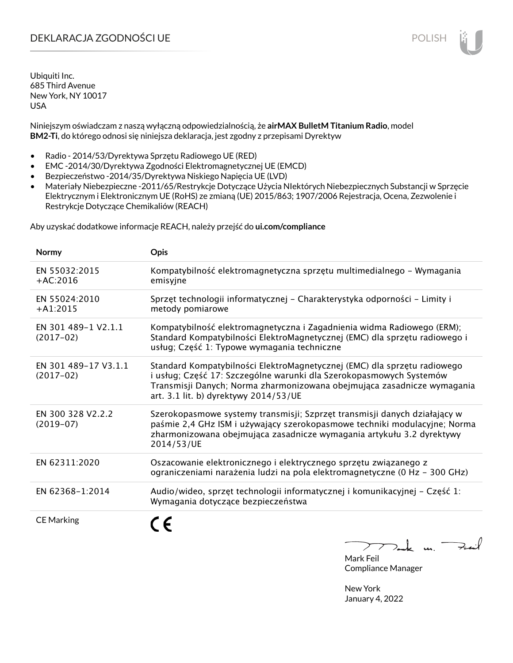# DEKLARACJA ZGODNOŚCI UE POLISH

Ubiquiti Inc. 685 Third Avenue New York, NY 10017 USA

Niniejszym oświadczam z naszą wyłączną odpowiedzialnością, że **airMAX BulletM Titanium Radio**, model **BM2-Ti**, do którego odnosi się niniejsza deklaracja, jest zgodny z przepisami Dyrektyw

- Radio 2014/53/Dyrektywa Sprzętu Radiowego UE (RED)
- EMC -2014/30/Dyrektywa Zgodności Elektromagnetycznej UE (EMCD)
- Bezpieczeństwo -2014/35/Dyrektywa Niskiego Napięcia UE (LVD)
- Materiały Niebezpieczne -2011/65/Restrykcje Dotyczące Użycia NIektórych Niebezpiecznych Substancji w Sprzęcie Elektrycznym i Elektronicznym UE (RoHS) ze zmianą (UE) 2015/863; 1907/2006 Rejestracja, Ocena, Zezwolenie i Restrykcje Dotyczące Chemikaliów (REACH)

Aby uzyskać dodatkowe informacje REACH, należy przejść do **ui.com/compliance**

| <b>Normy</b>                        | <b>Opis</b>                                                                                                                                                                                                                                                         |
|-------------------------------------|---------------------------------------------------------------------------------------------------------------------------------------------------------------------------------------------------------------------------------------------------------------------|
| EN 55032:2015<br>$+AC:2016$         | Kompatybilność elektromagnetyczna sprzętu multimedialnego - Wymagania<br>emisyjne                                                                                                                                                                                   |
| EN 55024:2010<br>$+A1:2015$         | Sprzęt technologii informatycznej - Charakterystyka odporności - Limity i<br>metody pomiarowe                                                                                                                                                                       |
| EN 301 489-1 V2.1.1<br>$(2017-02)$  | Kompatybilność elektromagnetyczna i Zagadnienia widma Radiowego (ERM);<br>Standard Kompatybilności ElektroMagnetycznej (EMC) dla sprzętu radiowego i<br>usług; Część 1: Typowe wymagania techniczne                                                                 |
| EN 301 489-17 V3.1.1<br>$(2017-02)$ | Standard Kompatybilności ElektroMagnetycznej (EMC) dla sprzętu radiowego<br>i usług; Część 17: Szczególne warunki dla Szerokopasmowych Systemów<br>Transmisji Danych; Norma zharmonizowana obejmująca zasadnicze wymagania<br>art. 3.1 lit. b) dyrektywy 2014/53/UE |
| EN 300 328 V2.2.2<br>$(2019-07)$    | Szerokopasmowe systemy transmisji; Szprzęt transmisji danych działający w<br>paśmie 2,4 GHz ISM i używający szerokopasmowe techniki modulacyjne; Norma<br>zharmonizowana obejmująca zasadnicze wymagania artykułu 3.2 dyrektywy<br>2014/53/UE                       |
| EN 62311:2020                       | Oszacowanie elektronicznego i elektrycznego sprzętu związanego z<br>ograniczeniami narażenia ludzi na pola elektromagnetyczne (0 Hz - 300 GHz)                                                                                                                      |
| EN 62368-1:2014                     | Audio/wideo, sprzęt technologii informatycznej i komunikacyjnej - Część 1:<br>Wymagania dotyczące bezpieczeństwa                                                                                                                                                    |
| <b>CE Marking</b>                   |                                                                                                                                                                                                                                                                     |

 $\downarrow$  m. Fail ⊃ Mark Feil

Compliance Manager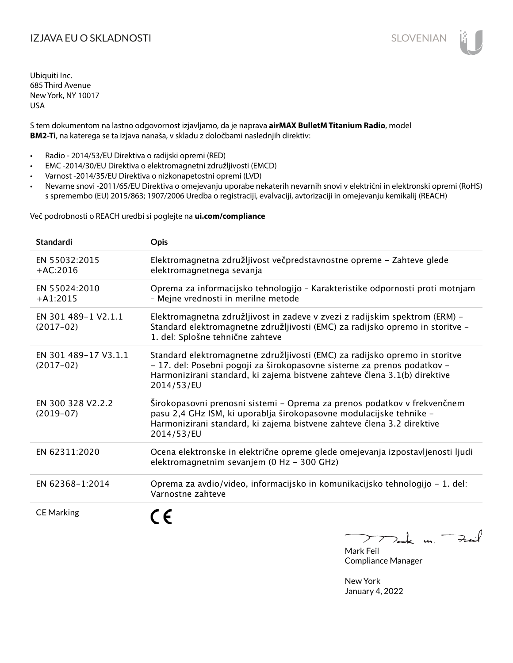# IZJAVA EU O SKLADNOSTI SLOVENIAN

Ubiquiti Inc. 685 Third Avenue New York, NY 10017 USA

S tem dokumentom na lastno odgovornost izjavljamo, da je naprava **airMAX BulletM Titanium Radio**, model **BM2-Ti**, na katerega se ta izjava nanaša, v skladu z določbami naslednjih direktiv:

- Radio 2014/53/EU Direktiva o radijski opremi (RED)
- EMC -2014/30/EU Direktiva o elektromagnetni združljivosti (EMCD)
- Varnost -2014/35/EU Direktiva o nizkonapetostni opremi (LVD)
- Nevarne snovi -2011/65/EU Direktiva o omejevanju uporabe nekaterih nevarnih snovi v električni in elektronski opremi (RoHS) s spremembo (EU) 2015/863; 1907/2006 Uredba o registraciji, evalvaciji, avtorizaciji in omejevanju kemikalij (REACH)

Več podrobnosti o REACH uredbi si poglejte na **ui.com/compliance**

| <b>Standardi</b>                    | <b>Opis</b>                                                                                                                                                                                                                                       |
|-------------------------------------|---------------------------------------------------------------------------------------------------------------------------------------------------------------------------------------------------------------------------------------------------|
| EN 55032:2015<br>$+AC:2016$         | Elektromagnetna združljivost večpredstavnostne opreme - Zahteve glede<br>elektromagnetnega sevanja                                                                                                                                                |
| EN 55024:2010<br>$+A1:2015$         | Oprema za informacijsko tehnologijo - Karakteristike odpornosti proti motnjam<br>- Mejne vrednosti in merilne metode                                                                                                                              |
| EN 301 489-1 V2.1.1<br>$(2017-02)$  | Elektromagnetna združljivost in zadeve v zvezi z radijskim spektrom (ERM) -<br>Standard elektromagnetne združljivosti (EMC) za radijsko opremo in storitve -<br>1. del: Splošne tehnične zahteve                                                  |
| EN 301 489-17 V3.1.1<br>$(2017-02)$ | Standard elektromagnetne združljivosti (EMC) za radijsko opremo in storitve<br>- 17. del: Posebni pogoji za širokopasovne sisteme za prenos podatkov -<br>Harmonizirani standard, ki zajema bistvene zahteve člena 3.1(b) direktive<br>2014/53/EU |
| EN 300 328 V2.2.2<br>$(2019-07)$    | Širokopasovni prenosni sistemi – Oprema za prenos podatkov v frekvenčnem<br>pasu 2,4 GHz ISM, ki uporablja širokopasovne modulacijske tehnike -<br>Harmonizirani standard, ki zajema bistvene zahteve člena 3.2 direktive<br>2014/53/EU           |
| EN 62311:2020                       | Ocena elektronske in električne opreme glede omejevanja izpostavljenosti ljudi<br>elektromagnetnim sevanjem (0 Hz - 300 GHz)                                                                                                                      |
| EN 62368-1:2014                     | Oprema za avdio/video, informacijsko in komunikacijsko tehnologijo - 1. del:<br>Varnostne zahteve                                                                                                                                                 |
| <b>CE Marking</b>                   |                                                                                                                                                                                                                                                   |

Dank un Zuil Mark Feil

Compliance Manager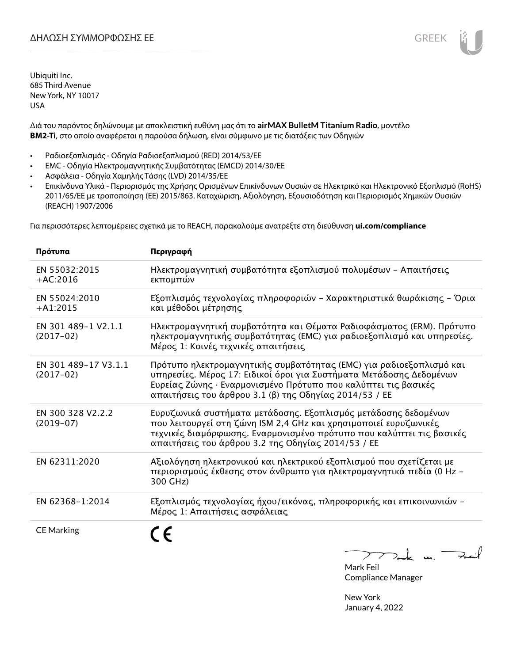Διά του παρόντος δηλώνουμε με αποκλειστική ευθύνη μας ότι το **airMAX BulletM Titanium Radio**, μοντέλο **BM2-Ti**, στο οποίο αναφέρεται η παρούσα δήλωση, είναι σύμφωνο με τις διατάξεις των Οδηγιών

- Ραδιοεξοπλισμός Οδηγία Ραδιοεξοπλισμού (RED) 2014/53/ΕΕ
- EMC Οδηγία Ηλεκτρομαγνητικής Συμβατότητας (EMCD) 2014/30/ΕΕ
- Ασφάλεια Οδηγία Χαμηλής Τάσης (LVD) 2014/35/ΕΕ
- Επικίνδυνα Υλικά Περιορισμός της Χρήσης Ορισμένων Επικίνδυνων Ουσιών σε Ηλεκτρικό και Ηλεκτρονικό Εξοπλισμό (RoHS) 2011/65/ΕΕ με τροποποίηση (ΕΕ) 2015/863. Καταχώριση, Αξιολόγηση, Εξουσιοδότηση και Περιορισμός Χημικών Ουσιών (REACH) 1907/2006

Για περισσότερες λεπτομέρειες σχετικά με το REACH, παρακαλούμε ανατρέξτε στη διεύθυνση **ui.com/compliance**

| Πρότυπα                             | Περιγραφή                                                                                                                                                                                                                                                              |
|-------------------------------------|------------------------------------------------------------------------------------------------------------------------------------------------------------------------------------------------------------------------------------------------------------------------|
| EN 55032:2015<br>$+AC:2016$         | Ηλεκτρομαγνητική συμβατότητα εξοπλισμού πολυμέσων - Απαιτήσεις<br>εκπομπών                                                                                                                                                                                             |
| EN 55024:2010<br>$+A1:2015$         | Εξοπλισμός τεχνολογίας πληροφοριών - Χαρακτηριστικά θωράκισης - Όρια<br>και μέθοδοι μέτρησης                                                                                                                                                                           |
| EN 301 489-1 V2.1.1<br>$(2017-02)$  | Ηλεκτρομαγνητική συμβατότητα και Θέματα Ραδιοφάσματος (ERM). Πρότυπο<br>ηλεκτρομαγνητικής συμβατότητας (ΕΜC) για ραδιοεξοπλισμό και υπηρεσίες.<br>Μέρος 1: Κοινές τεχνικές απαιτήσεις                                                                                  |
| EN 301 489-17 V3.1.1<br>$(2017-02)$ | Πρότυπο ηλεκτρομαγνητικής συμβατότητας (ΕΜC) για ραδιοεξοπλισμό και<br>υπηρεσίες. Μέρος 17: Ειδικοί όροι για Συστήματα Μετάδοσης Δεδομένων<br>Ευρείας Ζώνης · Εναρμονισμένο Πρότυπο που καλύπτει τις βασικές<br>απαιτήσεις του άρθρου 3.1 (β) της Οδηγίας 2014/53 / ΕΕ |
| EN 300 328 V2.2.2<br>$(2019-07)$    | Ευρυζωνικά συστήματα μετάδοσης. Εξοπλισμός μετάδοσης δεδομένων<br>που λειτουργεί στη ζώνη ISM 2,4 GHz και χρησιμοποιεί ευρυζωνικές<br>τεχνικές διαμόρφωσης. Εναρμονισμένο πρότυπο που καλύπτει τις βασικές<br>απαιτήσεις του άρθρου 3.2 της Οδηγίας 2014/53 / ΕΕ       |
| EN 62311:2020                       | Αξιολόγηση ηλεκτρονικού και ηλεκτρικού εξοπλισμού που σχετίζεται με<br>περιορισμούς έκθεσης στον άνθρωπο για ηλεκτρομαγνητικά πεδία (0 Hz -<br>300 GHz)                                                                                                                |
| EN 62368-1:2014                     | Εξοπλισμός τεχνολογίας ήχου/εικόνας, πληροφορικής και επικοινωνιών -<br>Μέρος 1: Απαιτήσεις ασφάλειας                                                                                                                                                                  |
| <b>CE Marking</b>                   |                                                                                                                                                                                                                                                                        |

 $\triangleright$  $\nabla$ ank un  $\rightarrow$  $\overline{\phantom{a}}$ 

Mark Feil Compliance Manager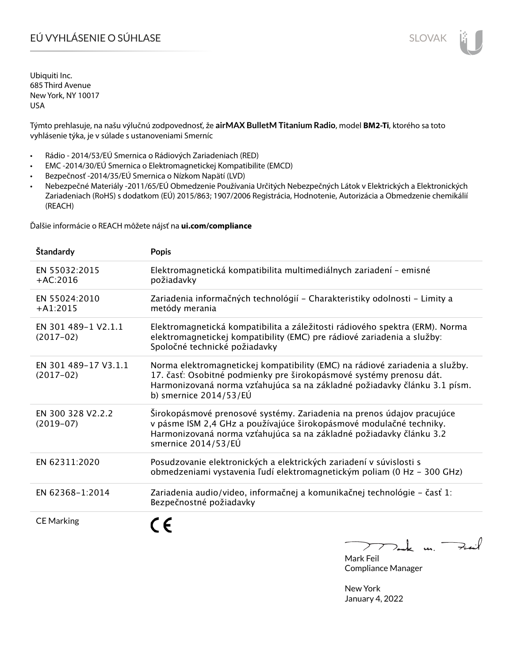# EÚ VYHLÁSENIE O SÚHLASE SLOVAK SLOVAK

Ubiquiti Inc. 685 Third Avenue New York, NY 10017 USA

Týmto prehlasuje, na našu výlučnú zodpovednosť, že **airMAX BulletM Titanium Radio**, model **BM2-Ti**, ktorého sa toto vyhlásenie týka, je v súlade s ustanoveniami Smerníc

- Rádio 2014/53/EÚ Smernica o Rádiových Zariadeniach (RED)
- EMC -2014/30/EÚ Smernica o Elektromagnetickej Kompatibilite (EMCD)
- Bezpečnosť -2014/35/EÚ Smernica o Nízkom Napätí (LVD)
- Nebezpečné Materiály -2011/65/EÚ Obmedzenie Používania Určitých Nebezpečných Látok v Elektrických a Elektronických Zariadeniach (RoHS) s dodatkom (EÚ) 2015/863; 1907/2006 Registrácia, Hodnotenie, Autorizácia a Obmedzenie chemikálií (REACH)

Ďalšie informácie o REACH môžete nájsť na **ui.com/compliance**

| Štandardy                           | <b>Popis</b>                                                                                                                                                                                                                                                 |
|-------------------------------------|--------------------------------------------------------------------------------------------------------------------------------------------------------------------------------------------------------------------------------------------------------------|
| EN 55032:2015<br>$+AC:2016$         | Elektromagnetická kompatibilita multimediálnych zariadení - emisné<br>požiadavky                                                                                                                                                                             |
| EN 55024:2010<br>$+A1:2015$         | Zariadenia informačných technológií - Charakteristiky odolnosti - Limity a<br>metódy merania                                                                                                                                                                 |
| EN 301 489-1 V2.1.1<br>$(2017-02)$  | Elektromagnetická kompatibilita a záležitosti rádiového spektra (ERM). Norma<br>elektromagnetickej kompatibility (EMC) pre rádiové zariadenia a služby:<br>Spoločné technické požiadavky                                                                     |
| EN 301 489-17 V3.1.1<br>$(2017-02)$ | Norma elektromagnetickej kompatibility (EMC) na rádiové zariadenia a služby.<br>17. časť: Osobitné podmienky pre širokopásmové systémy prenosu dát.<br>Harmonizovaná norma vzťahujúca sa na základné požiadavky článku 3.1 písm.<br>b) smernice $2014/53/EU$ |
| EN 300 328 V2.2.2<br>$(2019-07)$    | Širokopásmové prenosové systémy. Zariadenia na prenos údajov pracujúce<br>v pásme ISM 2,4 GHz a používajúce širokopásmové modulačné techniky.<br>Harmonizovaná norma vzťahujúca sa na základné požiadavky článku 3.2<br>smernice 2014/53/EÚ                  |
| EN 62311:2020                       | Posudzovanie elektronických a elektrických zariadení v súvislosti s<br>obmedzeniami vystavenia ľudí elektromagnetickým poliam (0 Hz - 300 GHz)                                                                                                               |
| EN 62368-1:2014                     | Zariadenia audio/video, informačnej a komunikačnej technológie – časť 1:<br>Bezpečnostné požiadavky                                                                                                                                                          |
| <b>CE Marking</b>                   | $\sqrt{2}$                                                                                                                                                                                                                                                   |

 $\downarrow$  m. Full  $\overline{\phantom{a}}$ ⊃

Mark Feil Compliance Manager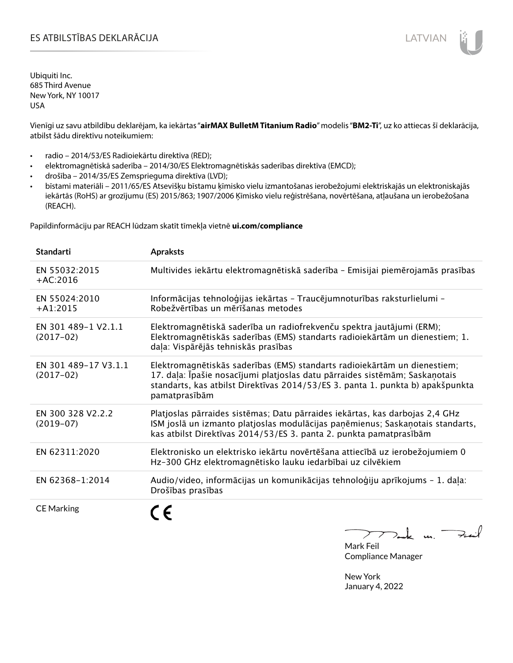# ES ATBILSTĪBAS DEKLARĀCIJA LATVIAN

Ubiquiti Inc. 685 Third Avenue New York, NY 10017 USA

Vienīgi uz savu atbildību deklarējam, ka iekārtas "**airMAX BulletM Titanium Radio**" modelis "**BM2-Ti**", uz ko attiecas šī deklarācija, atbilst šādu direktīvu noteikumiem:

- radio 2014/53/ES Radioiekārtu direktīva (RED);
- elektromagnētiskā saderība 2014/30/ES Elektromagnētiskās saderības direktīva (EMCD);
- drošība 2014/35/ES Zemsprieguma direktīva (LVD);
- bīstami materiāli 2011/65/ES Atsevišķu bīstamu ķīmisko vielu izmantošanas ierobežojumi elektriskajās un elektroniskajās iekārtās (RoHS) ar grozījumu (ES) 2015/863; 1907/2006 Ķīmisko vielu reģistrēšana, novērtēšana, atļaušana un ierobežošana (REACH).

Papildinformāciju par REACH lūdzam skatīt tīmekļa vietnē **ui.com/compliance**

| <b>Standarti</b>                    | <b>Apraksts</b>                                                                                                                                                                                                                                             |
|-------------------------------------|-------------------------------------------------------------------------------------------------------------------------------------------------------------------------------------------------------------------------------------------------------------|
| EN 55032:2015<br>$+AC:2016$         | Multivides iekārtu elektromagnētiskā saderība - Emisijai piemērojamās prasības                                                                                                                                                                              |
| EN 55024:2010<br>$+A1:2015$         | Informācijas tehnoloģijas iekārtas - Traucējumnoturības raksturlielumi -<br>Robežvērtības un mērīšanas metodes                                                                                                                                              |
| EN 301 489-1 V2.1.1<br>$(2017-02)$  | Elektromagnētiskā saderība un radiofrekvenču spektra jautājumi (ERM);<br>Elektromagnētiskās saderības (EMS) standarts radioiekārtām un dienestiem; 1.<br>daļa: Vispārējās tehniskās prasības                                                                |
| EN 301 489-17 V3.1.1<br>$(2017-02)$ | Elektromagnētiskās saderības (EMS) standarts radioiekārtām un dienestiem;<br>17. daļa: Īpašie nosacījumi platjoslas datu pārraides sistēmām; Saskaņotais<br>standarts, kas atbilst Direktīvas 2014/53/ES 3. panta 1. punkta b) apakšpunkta<br>pamatprasībām |
| EN 300 328 V2.2.2<br>$(2019-07)$    | Platjoslas pārraides sistēmas; Datu pārraides iekārtas, kas darbojas 2,4 GHz<br>ISM joslā un izmanto platjoslas modulācijas paņēmienus; Saskaņotais standarts,<br>kas atbilst Direktīvas 2014/53/ES 3. panta 2. punkta pamatprasībām                        |
| EN 62311:2020                       | Elektronisko un elektrisko iekārtu novērtēšana attiecībā uz ierobežojumiem 0<br>Hz-300 GHz elektromagnētisko lauku iedarbībai uz cilvēkiem                                                                                                                  |
| EN 62368-1:2014                     | Audio/video, informācijas un komunikācijas tehnoloģiju aprīkojums - 1. daļa:<br>Drošības prasības                                                                                                                                                           |
| <b>CE Marking</b>                   |                                                                                                                                                                                                                                                             |

m. Fail

Mark Feil Compliance Manager